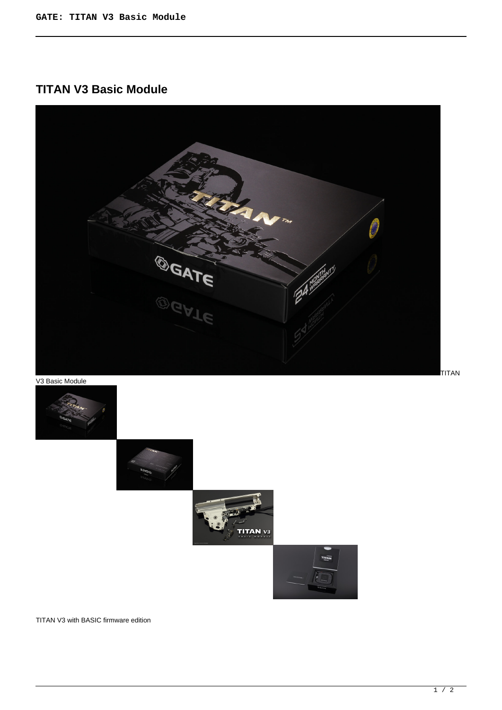# **TITAN V3 Basic Module**



V3 Basic Module





TITAN V3 with BASIC firmware edition